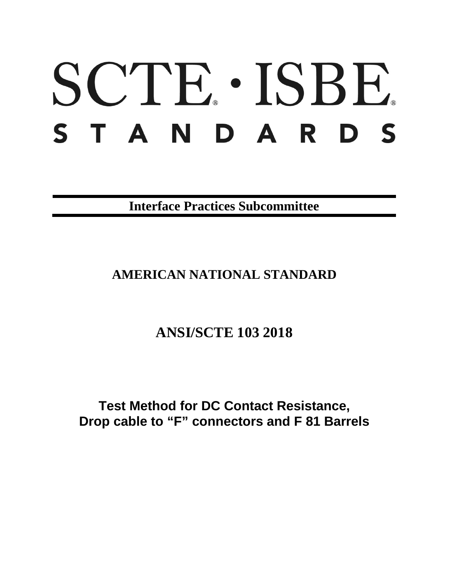# SCTE · ISBE. S T A N D A R D S

**Interface Practices Subcommittee**

## **AMERICAN NATIONAL STANDARD**

## **ANSI/SCTE 103 2018**

**Test Method for DC Contact Resistance, Drop cable to "F" connectors and F 81 Barrels**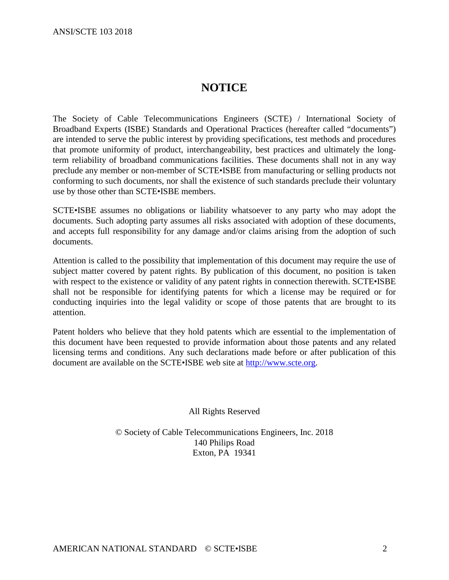### **NOTICE**

The Society of Cable Telecommunications Engineers (SCTE) / International Society of Broadband Experts (ISBE) Standards and Operational Practices (hereafter called "documents") are intended to serve the public interest by providing specifications, test methods and procedures that promote uniformity of product, interchangeability, best practices and ultimately the longterm reliability of broadband communications facilities. These documents shall not in any way preclude any member or non-member of SCTE•ISBE from manufacturing or selling products not conforming to such documents, nor shall the existence of such standards preclude their voluntary use by those other than SCTE•ISBE members.

SCTE•ISBE assumes no obligations or liability whatsoever to any party who may adopt the documents. Such adopting party assumes all risks associated with adoption of these documents, and accepts full responsibility for any damage and/or claims arising from the adoption of such documents.

Attention is called to the possibility that implementation of this document may require the use of subject matter covered by patent rights. By publication of this document, no position is taken with respect to the existence or validity of any patent rights in connection therewith. SCTE•ISBE shall not be responsible for identifying patents for which a license may be required or for conducting inquiries into the legal validity or scope of those patents that are brought to its attention.

Patent holders who believe that they hold patents which are essential to the implementation of this document have been requested to provide information about those patents and any related licensing terms and conditions. Any such declarations made before or after publication of this document are available on the SCTE•ISBE web site at [http://www.scte.org.](http://www.scte.org/)

All Rights Reserved

© Society of Cable Telecommunications Engineers, Inc. 2018 140 Philips Road Exton, PA 19341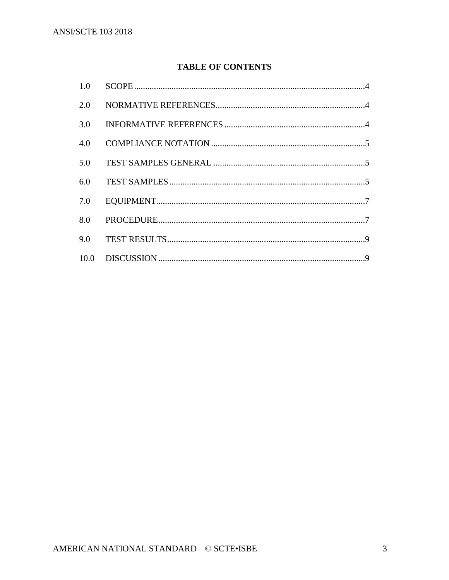#### **TABLE OF CONTENTS**

| 1.0 |  |
|-----|--|
| 2.0 |  |
| 3.0 |  |
| 4.0 |  |
| 5.0 |  |
| 6.0 |  |
| 7.0 |  |
| 8.0 |  |
| 9.0 |  |
|     |  |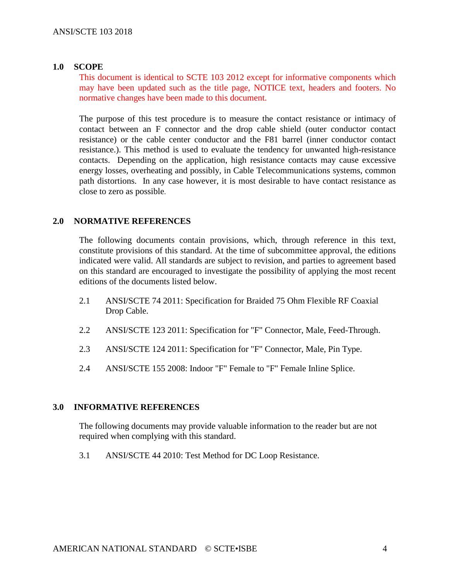#### <span id="page-3-0"></span>**1.0 SCOPE**

This document is identical to SCTE 103 2012 except for informative components which may have been updated such as the title page, NOTICE text, headers and footers. No normative changes have been made to this document.

The purpose of this test procedure is to measure the contact resistance or intimacy of contact between an F connector and the drop cable shield (outer conductor contact resistance) or the cable center conductor and the F81 barrel (inner conductor contact resistance.). This method is used to evaluate the tendency for unwanted high-resistance contacts. Depending on the application, high resistance contacts may cause excessive energy losses, overheating and possibly, in Cable Telecommunications systems, common path distortions. In any case however, it is most desirable to have contact resistance as close to zero as possible.

#### <span id="page-3-1"></span>**2.0 NORMATIVE REFERENCES**

The following documents contain provisions, which, through reference in this text, constitute provisions of this standard. At the time of subcommittee approval, the editions indicated were valid. All standards are subject to revision, and parties to agreement based on this standard are encouraged to investigate the possibility of applying the most recent editions of the documents listed below.

- 2.1 ANSI/SCTE 74 2011: Specification for Braided 75 Ohm Flexible RF Coaxial Drop Cable.
- 2.2 ANSI/SCTE 123 2011: Specification for "F" Connector, Male, Feed-Through.
- 2.3 ANSI/SCTE 124 2011: Specification for "F" Connector, Male, Pin Type.
- 2.4 ANSI/SCTE 155 2008: Indoor "F" Female to "F" Female Inline Splice.

#### <span id="page-3-2"></span>**3.0 INFORMATIVE REFERENCES**

The following documents may provide valuable information to the reader but are not required when complying with this standard.

3.1 ANSI/SCTE 44 2010: Test Method for DC Loop Resistance.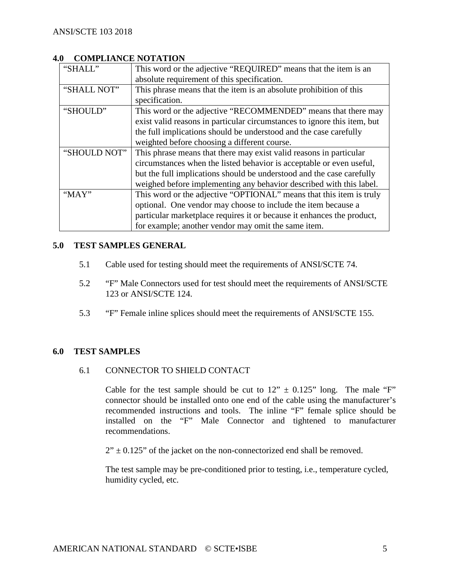#### <span id="page-4-0"></span>**4.0 COMPLIANCE NOTATION**

| "SHALL"      | This word or the adjective "REQUIRED" means that the item is an          |  |  |
|--------------|--------------------------------------------------------------------------|--|--|
|              | absolute requirement of this specification.                              |  |  |
| "SHALL NOT"  | This phrase means that the item is an absolute prohibition of this       |  |  |
|              | specification.                                                           |  |  |
| "SHOULD"     | This word or the adjective "RECOMMENDED" means that there may            |  |  |
|              | exist valid reasons in particular circumstances to ignore this item, but |  |  |
|              | the full implications should be understood and the case carefully        |  |  |
|              | weighted before choosing a different course.                             |  |  |
| "SHOULD NOT" | This phrase means that there may exist valid reasons in particular       |  |  |
|              | circumstances when the listed behavior is acceptable or even useful,     |  |  |
|              | but the full implications should be understood and the case carefully    |  |  |
|              | weighed before implementing any behavior described with this label.      |  |  |
| " $MAX"$     | This word or the adjective "OPTIONAL" means that this item is truly      |  |  |
|              | optional. One vendor may choose to include the item because a            |  |  |
|              | particular marketplace requires it or because it enhances the product,   |  |  |
|              | for example; another vendor may omit the same item.                      |  |  |

#### <span id="page-4-1"></span>**5.0 TEST SAMPLES GENERAL**

- 5.1 Cable used for testing should meet the requirements of ANSI/SCTE 74.
- 5.2 "F" Male Connectors used for test should meet the requirements of ANSI/SCTE 123 or ANSI/SCTE 124.
- 5.3 "F" Female inline splices should meet the requirements of ANSI/SCTE 155.

#### <span id="page-4-2"></span>**6.0 TEST SAMPLES**

#### 6.1 CONNECTOR TO SHIELD CONTACT

Cable for the test sample should be cut to  $12" \pm 0.125"$  long. The male "F" connector should be installed onto one end of the cable using the manufacturer's recommended instructions and tools. The inline "F" female splice should be installed on the "F" Male Connector and tightened to manufacturer recommendations.

 $2" \pm 0.125"$  of the jacket on the non-connectorized end shall be removed.

The test sample may be pre-conditioned prior to testing, i.e., temperature cycled, humidity cycled, etc.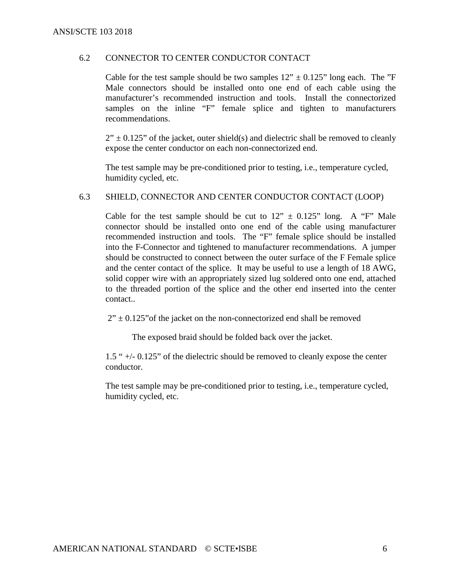#### 6.2 CONNECTOR TO CENTER CONDUCTOR CONTACT

Cable for the test sample should be two samples  $12'' \pm 0.125''$  long each. The "F Male connectors should be installed onto one end of each cable using the manufacturer's recommended instruction and tools. Install the connectorized samples on the inline "F" female splice and tighten to manufacturers recommendations.

 $2'' \pm 0.125''$  of the jacket, outer shield(s) and dielectric shall be removed to cleanly expose the center conductor on each non-connectorized end.

The test sample may be pre-conditioned prior to testing, i.e., temperature cycled, humidity cycled, etc.

#### 6.3 SHIELD, CONNECTOR AND CENTER CONDUCTOR CONTACT (LOOP)

Cable for the test sample should be cut to  $12" \pm 0.125"$  long. A "F" Male connector should be installed onto one end of the cable using manufacturer recommended instruction and tools. The "F" female splice should be installed into the F-Connector and tightened to manufacturer recommendations. A jumper should be constructed to connect between the outer surface of the F Female splice and the center contact of the splice. It may be useful to use a length of 18 AWG, solid copper wire with an appropriately sized lug soldered onto one end, attached to the threaded portion of the splice and the other end inserted into the center contact..

 $2" \pm 0.125"$  of the jacket on the non-connectorized end shall be removed

The exposed braid should be folded back over the jacket.

1.5 " +/- 0.125" of the dielectric should be removed to cleanly expose the center conductor.

The test sample may be pre-conditioned prior to testing, i.e., temperature cycled, humidity cycled, etc.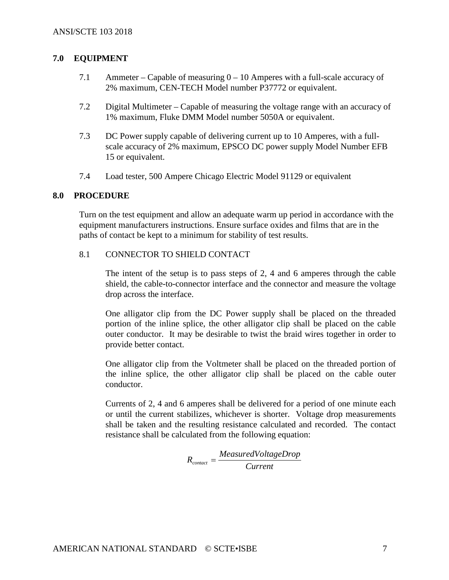#### <span id="page-6-0"></span>**7.0 EQUIPMENT**

- 7.1 Ammeter Capable of measuring 0 10 Amperes with a full-scale accuracy of 2% maximum, CEN-TECH Model number P37772 or equivalent.
- 7.2 Digital Multimeter Capable of measuring the voltage range with an accuracy of 1% maximum, Fluke DMM Model number 5050A or equivalent.
- 7.3 DC Power supply capable of delivering current up to 10 Amperes, with a fullscale accuracy of 2% maximum, EPSCO DC power supply Model Number EFB 15 or equivalent.
- 7.4 Load tester, 500 Ampere Chicago Electric Model 91129 or equivalent

#### <span id="page-6-1"></span>**8.0 PROCEDURE**

Turn on the test equipment and allow an adequate warm up period in accordance with the equipment manufacturers instructions. Ensure surface oxides and films that are in the paths of contact be kept to a minimum for stability of test results.

#### 8.1 CONNECTOR TO SHIELD CONTACT

The intent of the setup is to pass steps of 2, 4 and 6 amperes through the cable shield, the cable-to-connector interface and the connector and measure the voltage drop across the interface.

One alligator clip from the DC Power supply shall be placed on the threaded portion of the inline splice, the other alligator clip shall be placed on the cable outer conductor. It may be desirable to twist the braid wires together in order to provide better contact.

One alligator clip from the Voltmeter shall be placed on the threaded portion of the inline splice, the other alligator clip shall be placed on the cable outer conductor.

Currents of 2, 4 and 6 amperes shall be delivered for a period of one minute each or until the current stabilizes, whichever is shorter. Voltage drop measurements shall be taken and the resulting resistance calculated and recorded. The contact resistance shall be calculated from the following equation:

$$
R_{contact} = \frac{Measure dVoltag e Drop}{Current}
$$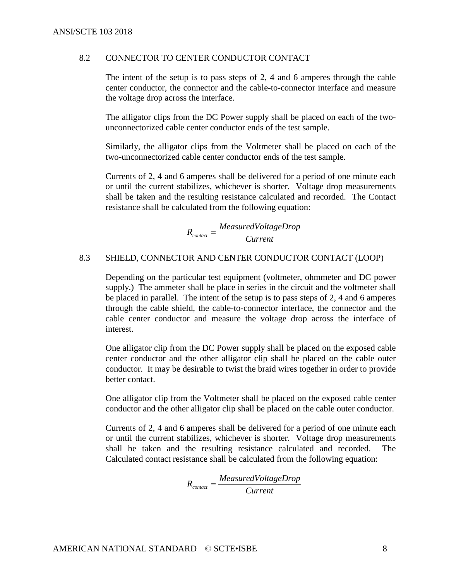#### 8.2 CONNECTOR TO CENTER CONDUCTOR CONTACT

The intent of the setup is to pass steps of 2, 4 and 6 amperes through the cable center conductor, the connector and the cable-to-connector interface and measure the voltage drop across the interface.

The alligator clips from the DC Power supply shall be placed on each of the twounconnectorized cable center conductor ends of the test sample.

Similarly, the alligator clips from the Voltmeter shall be placed on each of the two-unconnectorized cable center conductor ends of the test sample.

Currents of 2, 4 and 6 amperes shall be delivered for a period of one minute each or until the current stabilizes, whichever is shorter. Voltage drop measurements shall be taken and the resulting resistance calculated and recorded. The Contact resistance shall be calculated from the following equation:

$$
R_{\text{contact}} = \frac{Measured VoltageDrop}{Current}
$$

#### 8.3 SHIELD, CONNECTOR AND CENTER CONDUCTOR CONTACT (LOOP)

Depending on the particular test equipment (voltmeter, ohmmeter and DC power supply.) The ammeter shall be place in series in the circuit and the voltmeter shall be placed in parallel. The intent of the setup is to pass steps of 2, 4 and 6 amperes through the cable shield, the cable-to-connector interface, the connector and the cable center conductor and measure the voltage drop across the interface of interest.

One alligator clip from the DC Power supply shall be placed on the exposed cable center conductor and the other alligator clip shall be placed on the cable outer conductor. It may be desirable to twist the braid wires together in order to provide better contact.

One alligator clip from the Voltmeter shall be placed on the exposed cable center conductor and the other alligator clip shall be placed on the cable outer conductor.

Currents of 2, 4 and 6 amperes shall be delivered for a period of one minute each or until the current stabilizes, whichever is shorter. Voltage drop measurements shall be taken and the resulting resistance calculated and recorded. The Calculated contact resistance shall be calculated from the following equation:

$$
R_{\text{contact}} = \frac{Measured VoltageDrop}{Current}
$$